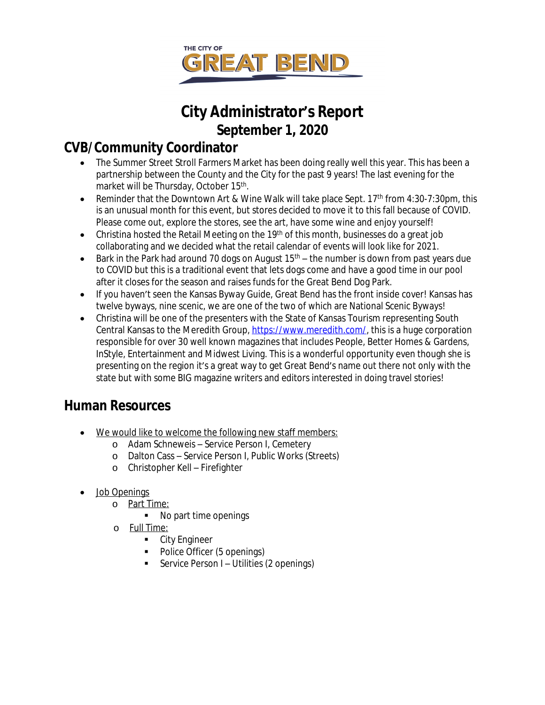

# **City Administrator's Report September 1, 2020**

# **CVB/Community Coordinator**

- The Summer Street Stroll Farmers Market has been doing really well this year. This has been a partnership between the County and the City for the past 9 years! The last evening for the market will be Thursday, October 15<sup>th</sup>.
- **•** Reminder that the Downtown Art & Wine Walk will take place Sept. 17<sup>th</sup> from 4:30-7:30pm, this is an unusual month for this event, but stores decided to move it to this fall because of COVID. Please come out, explore the stores, see the art, have some wine and enjoy yourself!
- Christina hosted the Retail Meeting on the 19<sup>th</sup> of this month, businesses do a great job collaborating and we decided what the retail calendar of events will look like for 2021.
- Bark in the Park had around 70 dogs on August  $15<sup>th</sup>$  the number is down from past years due to COVID but this is a traditional event that lets dogs come and have a good time in our pool after it closes for the season and raises funds for the Great Bend Dog Park.
- If you haven't seen the Kansas Byway Guide, Great Bend has the front inside cover! Kansas has twelve byways, nine scenic, we are one of the two of which are National Scenic Byways!
- Christina will be one of the presenters with the State of Kansas Tourism representing South Central Kansas to the Meredith Group, [https://www.meredith.com/,](https://www.meredith.com/) this is a huge corporation responsible for over 30 well known magazines that includes People, Better Homes & Gardens, InStyle, Entertainment and Midwest Living. This is a wonderful opportunity even though she is presenting on the region it's a great way to get Great Bend's name out there not only with the state but with some BIG magazine writers and editors interested in doing travel stories!

# **Human Resources**

- We would like to welcome the following new staff members:
	- o Adam Schneweis Service Person I, Cemetery
	- o Dalton Cass Service Person I, Public Works (Streets)
	- o Christopher Kell Firefighter
- Job Openings
	- o Part Time:
		- No part time openings
	- o Full Time:
		- **-** City Engineer
		- Police Officer (5 openings)
		- **Service Person I Utilities (2 openings)**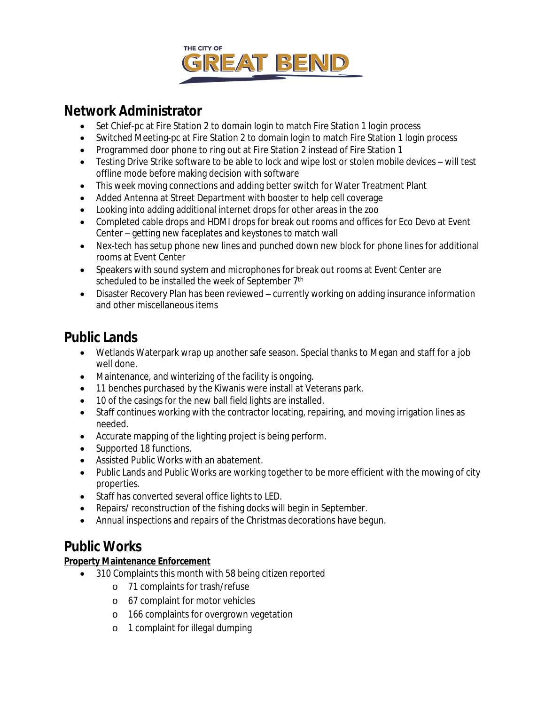

## **Network Administrator**

- Set Chief-pc at Fire Station 2 to domain login to match Fire Station 1 login process
- Switched Meeting-pc at Fire Station 2 to domain login to match Fire Station 1 login process
- Programmed door phone to ring out at Fire Station 2 instead of Fire Station 1
- Testing Drive Strike software to be able to lock and wipe lost or stolen mobile devices will test offline mode before making decision with software
- This week moving connections and adding better switch for Water Treatment Plant
- Added Antenna at Street Department with booster to help cell coverage
- Looking into adding additional internet drops for other areas in the zoo
- Completed cable drops and HDMI drops for break out rooms and offices for Eco Devo at Event Center – getting new faceplates and keystones to match wall
- Nex-tech has setup phone new lines and punched down new block for phone lines for additional rooms at Event Center
- Speakers with sound system and microphones for break out rooms at Event Center are scheduled to be installed the week of September 7<sup>th</sup>
- Disaster Recovery Plan has been reviewed currently working on adding insurance information and other miscellaneous items

# **Public Lands**

- Wetlands Waterpark wrap up another safe season. Special thanks to Megan and staff for a job well done.
- Maintenance, and winterizing of the facility is ongoing.
- 11 benches purchased by the Kiwanis were install at Veterans park.
- 10 of the casings for the new ball field lights are installed.
- Staff continues working with the contractor locating, repairing, and moving irrigation lines as needed.
- Accurate mapping of the lighting project is being perform.
- Supported 18 functions.
- Assisted Public Works with an abatement.
- Public Lands and Public Works are working together to be more efficient with the mowing of city properties.
- Staff has converted several office lights to LED.
- Repairs/ reconstruction of the fishing docks will begin in September.
- Annual inspections and repairs of the Christmas decorations have begun.

# **Public Works**

#### **Property Maintenance Enforcement**

- 310 Complaints this month with 58 being citizen reported
	- o 71 complaints for trash/refuse
	- o 67 complaint for motor vehicles
	- o 166 complaints for overgrown vegetation
	- o 1 complaint for illegal dumping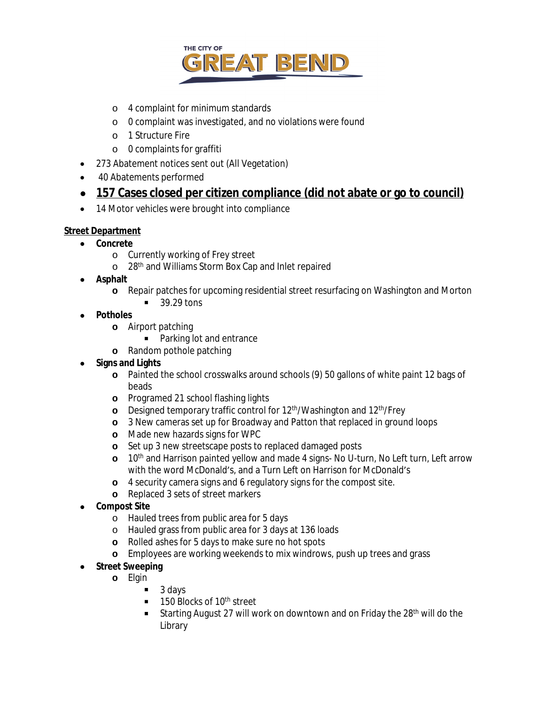

- o 4 complaint for minimum standards
- o 0 complaint was investigated, and no violations were found
- o 1 Structure Fire
- o 0 complaints for graffiti
- 273 Abatement notices sent out (All Vegetation)
- 40 Abatements performed
- **157 Cases closed per citizen compliance (did not abate or go to council)**
- 14 Motor vehicles were brought into compliance

#### **Street Department**

- **Concrete**
	- o Currently working of Frey street
	- o 28<sup>th</sup> and Williams Storm Box Cap and Inlet repaired
- **Asphalt**
	- **o** Repair patches for upcoming residential street resurfacing on Washington and Morton
		- $\blacksquare$  39.29 tons
- **Potholes**
	- **o** Airport patching
		- Parking lot and entrance
	- **o** Random pothole patching
- **•** Signs and Lights
	- **o** Painted the school crosswalks around schools (9) 50 gallons of white paint 12 bags of beads
	- **o** Programed 21 school flashing lights
	- **o** Designed temporary traffic control for 12<sup>th</sup>/Washington and 12<sup>th</sup>/Frey
	- **o** 3 New cameras set up for Broadway and Patton that replaced in ground loops
	- **o** Made new hazards signs for WPC
	- **o** Set up 3 new streetscape posts to replaced damaged posts
	- **o** 10th and Harrison painted yellow and made 4 signs- No U-turn, No Left turn, Left arrow with the word McDonald's, and a Turn Left on Harrison for McDonald's
	- **o** 4 security camera signs and 6 regulatory signs for the compost site.
	- **o** Replaced 3 sets of street markers
- **Compost Site**
	- o Hauled trees from public area for 5 days
	- o Hauled grass from public area for 3 days at 136 loads
	- **o** Rolled ashes for 5 days to make sure no hot spots
	- **o** Employees are working weekends to mix windrows, push up trees and grass
- **Street Sweeping**
	- **o** Elgin
		- $\blacksquare$  3 days
		- $\blacksquare$  150 Blocks of 10<sup>th</sup> street
		- Starting August 27 will work on downtown and on Friday the  $28<sup>th</sup>$  will do the Library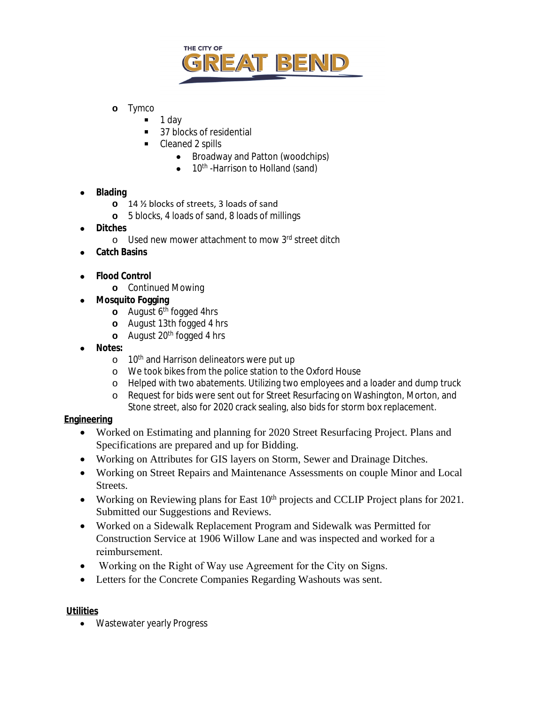

- **o** Tymco
	- 1 day
	- 37 blocks of residential
	- Cleaned 2 spills
		- Broadway and Patton (woodchips)
		- $\bullet$  10<sup>th</sup> -Harrison to Holland (sand)
- **Blading**
	- **o** 14 ½ blocks of streets, 3 loads of sand
	- **o** 5 blocks, 4 loads of sand, 8 loads of millings
- **Ditches**
	- o Used new mower attachment to mow 3rd street ditch
- **Catch Basins**
- **Flood Control**
	- **o** Continued Mowing
- **Mosquito Fogging**
	- **o** August 6<sup>th</sup> fogged 4hrs
	- **o** August 13th fogged 4 hrs
	- **o** August 20<sup>th</sup> fogged 4 hrs
- **Notes:**
	- o 10<sup>th</sup> and Harrison delineators were put up
	- o We took bikes from the police station to the Oxford House
	- o Helped with two abatements. Utilizing two employees and a loader and dump truck
	- o Request for bids were sent out for Street Resurfacing on Washington, Morton, and Stone street, also for 2020 crack sealing, also bids for storm box replacement.

#### **Engineering**

- Worked on Estimating and planning for 2020 Street Resurfacing Project. Plans and Specifications are prepared and up for Bidding.
- Working on Attributes for GIS layers on Storm, Sewer and Drainage Ditches.
- Working on Street Repairs and Maintenance Assessments on couple Minor and Local Streets.
- Working on Reviewing plans for East  $10<sup>th</sup>$  projects and CCLIP Project plans for 2021. Submitted our Suggestions and Reviews.
- Worked on a Sidewalk Replacement Program and Sidewalk was Permitted for Construction Service at 1906 Willow Lane and was inspected and worked for a reimbursement.
- Working on the Right of Way use Agreement for the City on Signs.
- Letters for the Concrete Companies Regarding Washouts was sent.

#### **Utilities**

• Wastewater yearly Progress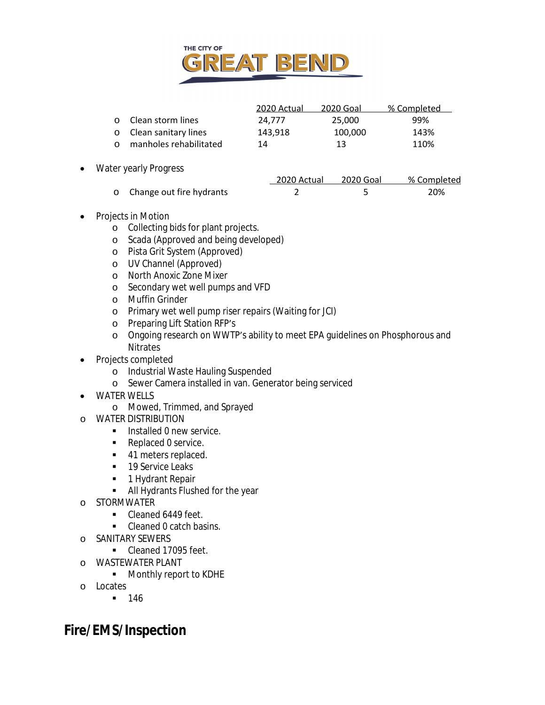

|                          | 2020 Actual | 2020 Goal | % Completed |
|--------------------------|-------------|-----------|-------------|
| o Clean storm lines      | 24.777      | 25.000    | 99%         |
| o Clean sanitary lines   | 143.918     | 100.000   | 143%        |
| o manholes rehabilitated | 14          | 13        | 110%        |

• Water yearly Progress

|                            | 2020 Actual | 2020 Goal | % Completed |
|----------------------------|-------------|-----------|-------------|
| o Change out fire hydrants |             |           | 20%         |

- Projects in Motion
	- o Collecting bids for plant projects.
	- o Scada (Approved and being developed)
	- o Pista Grit System (Approved)
	- o UV Channel (Approved)
	- o North Anoxic Zone Mixer
	- o Secondary wet well pumps and VFD
	- o Muffin Grinder
	- o Primary wet well pump riser repairs (Waiting for JCI)
	- o Preparing Lift Station RFP's
	- o Ongoing research on WWTP's ability to meet EPA guidelines on Phosphorous and **Nitrates**
- Projects completed
	- o Industrial Waste Hauling Suspended
	- o Sewer Camera installed in van. Generator being serviced
- WATER WELLS
	- o Mowed, Trimmed, and Sprayed
- o WATER DISTRIBUTION
	- **Installed 0 new service.**
	- Replaced 0 service.
	- 41 meters replaced.
	- 19 Service Leaks
	- **1 Hydrant Repair**
	- All Hydrants Flushed for the year
- o STORMWATER
	- Cleaned 6449 feet.
	- Cleaned 0 catch basins.
- o SANITARY SEWERS
	- Cleaned 17095 feet.
- o WASTEWATER PLANT
	- **Monthly report to KDHE**
- o Locates
	- $-146$

# **Fire/EMS/Inspection**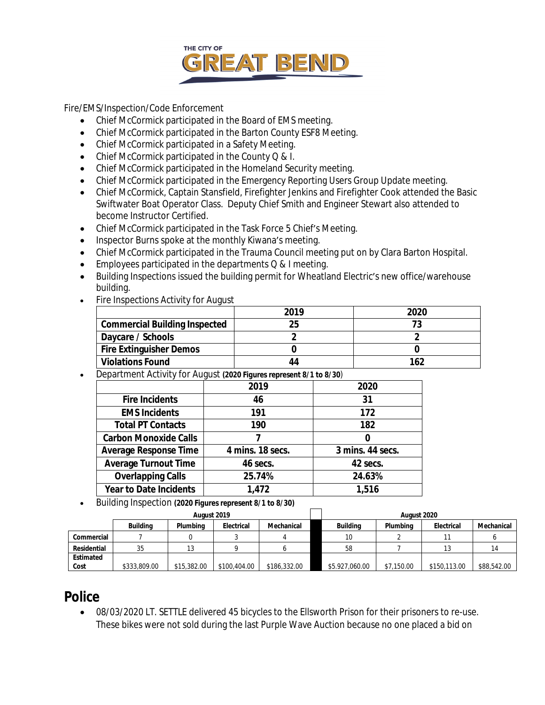

Fire/EMS/Inspection/Code Enforcement

- Chief McCormick participated in the Board of EMS meeting.
- Chief McCormick participated in the Barton County ESF8 Meeting.
- Chief McCormick participated in a Safety Meeting.
- Chief McCormick participated in the County Q & I.
- Chief McCormick participated in the Homeland Security meeting.
- Chief McCormick participated in the Emergency Reporting Users Group Update meeting.
- Chief McCormick, Captain Stansfield, Firefighter Jenkins and Firefighter Cook attended the Basic Swiftwater Boat Operator Class. Deputy Chief Smith and Engineer Stewart also attended to become Instructor Certified.
- Chief McCormick participated in the Task Force 5 Chief's Meeting.
- Inspector Burns spoke at the monthly Kiwana's meeting.
- Chief McCormick participated in the Trauma Council meeting put on by Clara Barton Hospital.
- **Employees participated in the departments Q & I meeting.**
- Building Inspections issued the building permit for Wheatland Electric's new office/warehouse building.
- Fire Inspections Activity for August

|                                      | 2019 | 2020 |
|--------------------------------------|------|------|
| <b>Commercial Building Inspected</b> | 25   |      |
| Daycare / Schools                    |      |      |
| <b>Fire Extinguisher Demos</b>       |      |      |
| <b>Violations Found</b>              | 44   | 162  |

Department Activity for August *(2020 Figures represent 8/1 to 8/30)*

|                               | 2019             | 2020             |
|-------------------------------|------------------|------------------|
| <b>Fire Incidents</b>         | 46               | 31               |
| <b>EMS Incidents</b>          | 191              | 172              |
| <b>Total PT Contacts</b>      | 190              | 182              |
| <b>Carbon Monoxide Calls</b>  |                  | 0                |
| <b>Average Response Time</b>  | 4 mins. 18 secs. | 3 mins. 44 secs. |
| <b>Average Turnout Time</b>   | 46 secs.         | 42 secs.         |
| <b>Overlapping Calls</b>      | 25.74%           | 24.63%           |
| <b>Year to Date Incidents</b> | 1,472            | 1,516            |

Building Inspection *(2020 Figures represent 8/1 to 8/30)*

|             |                 | August 2019 |              |              |                 | August 2020 |              |             |
|-------------|-----------------|-------------|--------------|--------------|-----------------|-------------|--------------|-------------|
|             | <b>Building</b> | Plumbina    | Electrical   | Mechanical   | <b>Building</b> | Plumbina    | Electrical   | Mechanical  |
| Commercial  |                 |             |              |              | 10              |             |              |             |
| Residential | 35              | 13          |              |              | 58              |             |              |             |
| Estimated   |                 |             |              |              |                 |             |              |             |
| Cost        | \$333,809.00    | \$15,382.00 | \$100,404.00 | \$186,332.00 | \$5.927,060.00  | \$7,150.00  | \$150,113.00 | \$88,542.00 |

### **Police**

 08/03/2020 LT. SETTLE delivered 45 bicycles to the Ellsworth Prison for their prisoners to re-use. These bikes were not sold during the last Purple Wave Auction because no one placed a bid on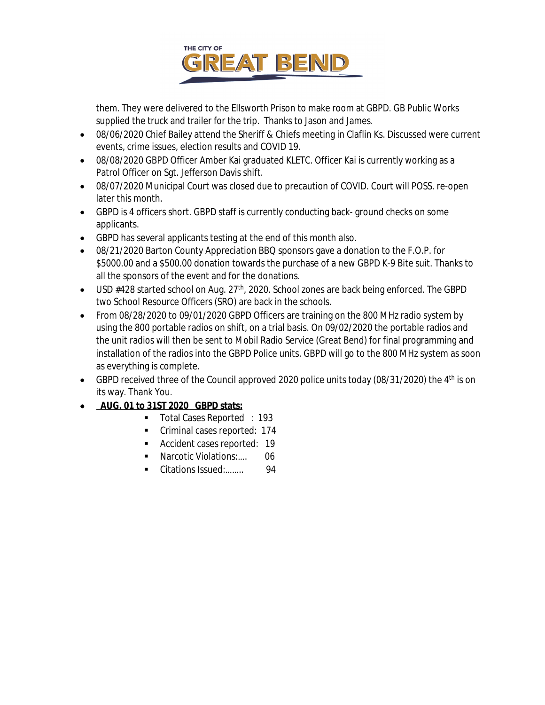

them. They were delivered to the Ellsworth Prison to make room at GBPD. GB Public Works supplied the truck and trailer for the trip. Thanks to Jason and James.

- 08/06/2020 Chief Bailey attend the Sheriff & Chiefs meeting in Claflin Ks. Discussed were current events, crime issues, election results and COVID 19.
- 08/08/2020 GBPD Officer Amber Kai graduated KLETC. Officer Kai is currently working as a Patrol Officer on Sgt. Jefferson Davis shift.
- 08/07/2020 Municipal Court was closed due to precaution of COVID. Court will POSS. re-open later this month.
- GBPD is 4 officers short. GBPD staff is currently conducting back- ground checks on some applicants.
- GBPD has several applicants testing at the end of this month also.
- 08/21/2020 Barton County Appreciation BBQ sponsors gave a donation to the F.O.P. for \$5000.00 and a \$500.00 donation towards the purchase of a new GBPD K-9 Bite suit. Thanks to all the sponsors of the event and for the donations.
- $\bullet$  USD #428 started school on Aug. 27<sup>th</sup>, 2020. School zones are back being enforced. The GBPD two School Resource Officers (SRO) are back in the schools.
- From 08/28/2020 to 09/01/2020 GBPD Officers are training on the 800 MHz radio system by using the 800 portable radios on shift, on a trial basis. On 09/02/2020 the portable radios and the unit radios will then be sent to Mobil Radio Service (Great Bend) for final programming and installation of the radios into the GBPD Police units. GBPD will go to the 800 MHz system as soon as everything is complete.
- GBPD received three of the Council approved 2020 police units today (08/31/2020) the  $4<sup>th</sup>$  is on its way. Thank You.
- **AUG. 01 to 31ST 2020 GBPD stats:**
	- Total Cases Reported : 193
	- Criminal cases reported: 174
	- Accident cases reported: 19
	- Narcotic Violations:.... 06
	- Citations Issued:......... 94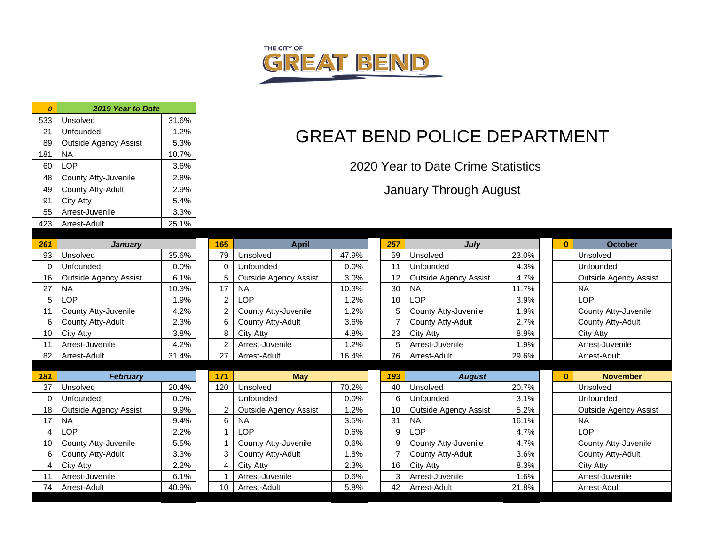

|       |                              |                 |       | 2019 Year to Date            | $\boldsymbol{0}$ |
|-------|------------------------------|-----------------|-------|------------------------------|------------------|
|       |                              |                 | 31.6% | Unsolved                     | 533              |
|       | <b>GREAT</b>                 |                 | 1.2%  | Unfounded                    | 21               |
|       |                              |                 | 5.3%  | <b>Outside Agency Assist</b> | 89               |
|       |                              |                 | 10.7% | <b>NA</b>                    | 181              |
| 20    |                              |                 | 3.6%  | <b>LOP</b>                   | 60               |
|       |                              |                 | 2.8%  | County Atty-Juvenile         | 48               |
|       |                              |                 | 2.9%  | County Atty-Adult            | 49               |
|       |                              |                 | 5.4%  | <b>City Atty</b>             | 91               |
|       |                              |                 | 3.3%  | Arrest-Juvenile              | 55               |
|       |                              |                 | 25.1% | Arrest-Adult                 | 423              |
|       |                              |                 |       |                              |                  |
|       | <b>April</b>                 | 165             |       | <b>January</b>               | 261              |
| 47.9% | Unsolved                     | 79              | 35.6% | Unsolved                     | 93               |
| 0.0%  | Unfounded                    | $\mathbf 0$     | 0.0%  | Unfounded                    | 0                |
| 3.0%  | <b>Outside Agency Assist</b> | 5               | 6.1%  | <b>Outside Agency Assist</b> | 16               |
| 10.3% | <b>NA</b>                    | 17              | 10.3% | <b>NA</b>                    | 27               |
| 1.2%  | <b>LOP</b>                   | 2               | 1.9%  | <b>LOP</b>                   | 5                |
| 1.2%  | County Atty-Juvenile         | $\overline{2}$  | 4.2%  | County Atty-Juvenile         | 11               |
| 3.6%  | County Atty-Adult            | 6               | 2.3%  | County Atty-Adult            | 6                |
| 4.8%  | <b>City Atty</b>             | 8               | 3.8%  | <b>City Atty</b>             | 10               |
| 1.2%  | Arrest-Juvenile              | $\overline{2}$  | 4.2%  | Arrest-Juvenile              | 11               |
| 16.4% | Arrest-Adult                 | 27              | 31.4% | Arrest-Adult                 | 82               |
|       | <b>May</b>                   | 171             |       | <b>February</b>              | 181              |
| 70.2% | Unsolved                     | 120             | 20.4% | Unsolved                     | 37               |
| 0.0%  | Unfounded                    |                 | 0.0%  | Unfounded                    | 0                |
| 1.2%  | <b>Outside Agency Assist</b> | $\overline{2}$  | 9.9%  | <b>Outside Agency Assist</b> | 18               |
| 3.5%  | <b>NA</b>                    | 6               | 9.4%  | <b>NA</b>                    | 17               |
| 0.6%  | <b>LOP</b>                   | 1               | 2.2%  | <b>LOP</b>                   | 4                |
| 0.6%  | County Atty-Juvenile         | 1               | 5.5%  | County Atty-Juvenile         | 10               |
| 1.8%  | County Atty-Adult            | 3               | 3.3%  | County Atty-Adult            | 6                |
| 2.3%  | <b>City Atty</b>             | $\overline{4}$  | 2.2%  | <b>City Atty</b>             | $\overline{4}$   |
| 0.6%  | Arrest-Juvenile              | $\mathbf{1}$    | 6.1%  | Arrest-Juvenile              | 11               |
| 5.8%  | Arrest-Adult                 | 10 <sup>°</sup> | 40.9% | Arrest-Adult                 | 74               |

# BEND POLICE DEPARTMENT

020 Year to Date Crime Statistics

January Through August

| 261 | <b>January</b>               |       | 165            | <b>April</b>                 |       | 257 | July                         |       | $\bf{0}$ | <b>October</b>               |
|-----|------------------------------|-------|----------------|------------------------------|-------|-----|------------------------------|-------|----------|------------------------------|
| 93  | Unsolved                     | 35.6% | 79             | Unsolved                     | 47.9% | 59  | Unsolved                     | 23.0% |          | Unsolved                     |
| 0   | Unfounded                    | 0.0%  | $\Omega$       | Unfounded                    | 0.0%  | 11  | Unfounded                    | 4.3%  |          | Unfounded                    |
| 16  | <b>Outside Agency Assist</b> | 6.1%  | 5              | <b>Outside Agency Assist</b> | 3.0%  | 12  | <b>Outside Agency Assist</b> | 4.7%  |          | <b>Outside Agency Assist</b> |
| 27  | <b>NA</b>                    | 10.3% | 17             | <b>NA</b>                    | 10.3% | 30  | <b>NA</b>                    | 11.7% |          | <b>NA</b>                    |
| 5   | LOP                          | 1.9%  | $\overline{c}$ | <b>LOP</b>                   | 1.2%  | 10  | <b>LOP</b>                   | 3.9%  |          | <b>LOP</b>                   |
| 11  | County Atty-Juvenile         | 4.2%  | $\overline{2}$ | County Atty-Juvenile         | 1.2%  |     | County Atty-Juvenile         | 1.9%  |          | County Atty-Juvenile         |
| 6   | County Atty-Adult            | 2.3%  | 6              | County Atty-Adult            | 3.6%  |     | County Atty-Adult            | 2.7%  |          | County Atty-Adult            |
| 10  | City Atty                    | 3.8%  | 8              | City Atty                    | 4.8%  | 23  | City Atty                    | 8.9%  |          | City Atty                    |
| 11  | Arrest-Juvenile              | 4.2%  |                | Arrest-Juvenile              | 1.2%  |     | Arrest-Juvenile              | 1.9%  |          | Arrest-Juvenile              |
| 82  | Arrest-Adult                 | 31.4% | 27             | Arrest-Adult                 | 16.4% | 76  | Arrest-Adult                 | 29.6% |          | Arrest-Adult                 |
|     |                              |       |                |                              |       |     |                              |       |          |                              |
| 181 | <b>February</b>              |       | 171            | <b>May</b>                   |       | 193 | <b>August</b>                |       | $\bf{0}$ | <b>November</b>              |
| 37  | Unsolved                     | 20.4% | 120            | Unsolved                     | 70.2% | 40  | Unsolved                     | 20.7% |          | Unsolved                     |
| 0   | Unfounded                    | 0.0%  |                | Unfounded                    | 0.0%  |     | Unfounded                    | 3.1%  |          | Unfounded                    |
| 18  | <b>Outside Agency Assist</b> | 9.9%  |                | <b>Outside Agency Assist</b> | 1.2%  | 10  | <b>Outside Agency Assist</b> | 5.2%  |          | <b>Outside Agency Assist</b> |
|     |                              |       |                |                              |       |     |                              |       |          | <b>NA</b>                    |
| 17  | <b>NA</b>                    | 9.4%  | 6              | <b>NA</b>                    | 3.5%  | 31  | <b>NA</b>                    | 16.1% |          |                              |
| 4   | LOP                          | 2.2%  |                | <b>LOP</b>                   | 0.6%  | 9   | <b>LOP</b>                   | 4.7%  |          | <b>LOP</b>                   |
| 10  | County Atty-Juvenile         | 5.5%  |                | County Atty-Juvenile         | 0.6%  | 9   | County Atty-Juvenile         | 4.7%  |          | County Atty-Juvenile         |
| 6   | County Atty-Adult            | 3.3%  | 3              | County Atty-Adult            | 1.8%  |     | County Atty-Adult            | 3.6%  |          | County Atty-Adult            |
| 4   | City Atty                    | 2.2%  | 4              | City Atty                    | 2.3%  | 16  | City Atty                    | 8.3%  |          | City Atty                    |
| 11  | Arrest-Juvenile              | 6.1%  |                | Arrest-Juvenile              | 0.6%  |     | Arrest-Juvenile              | 1.6%  |          | Arrest-Juvenile              |